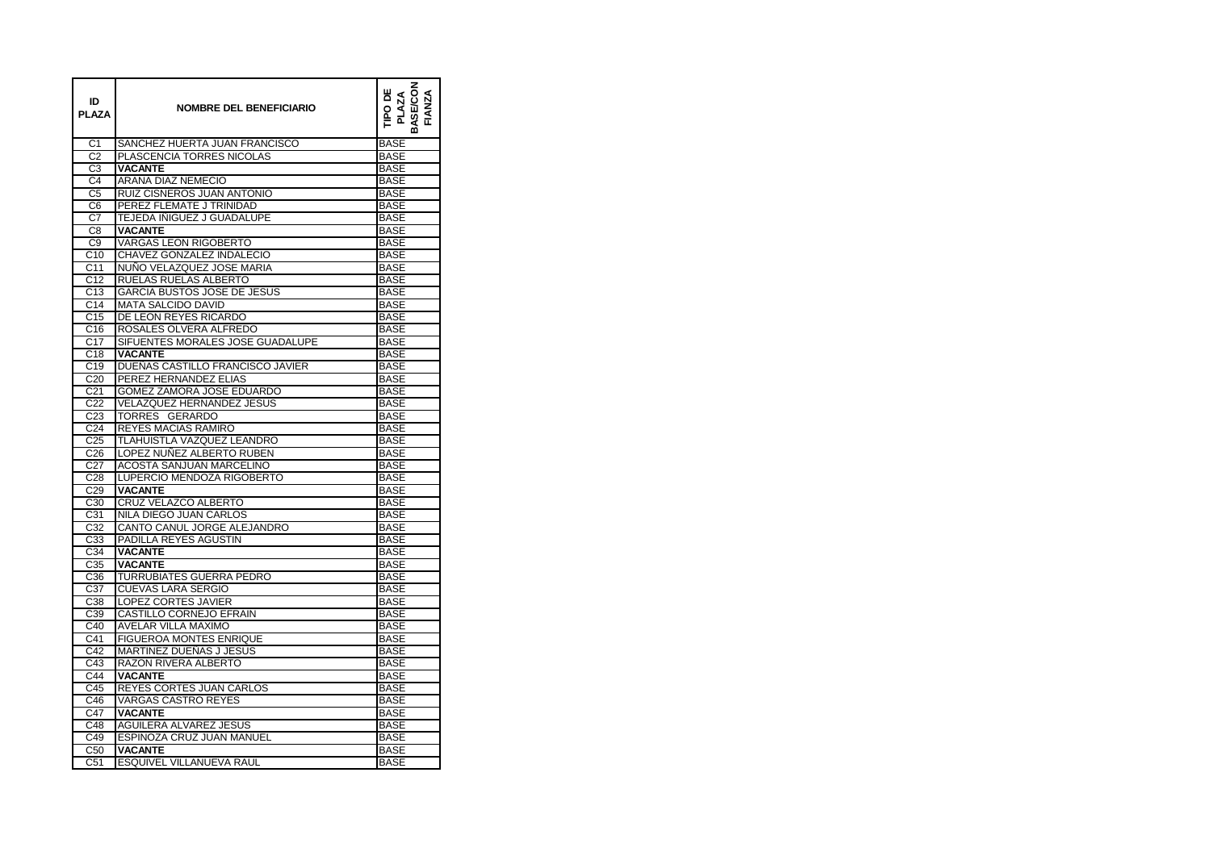| C <sub>1</sub><br>SANCHEZ HUERTA JUAN FRANCISCO<br><b>BASE</b><br>PLASCENCIA TORRES NICOLAS<br>C2<br><b>BASE</b><br>C <sub>3</sub><br><b>VACANTE</b><br><b>BASE</b><br>C4<br>ARANA DIAZ NEMECIO<br><b>BASE</b><br>C <sub>5</sub><br>RUIZ CISNEROS JUAN ANTONIO<br><b>BASE</b><br>PEREZ FLEMATE J TRINIDAD<br><b>BASE</b><br>C6<br>$\overline{C7}$<br><b>TEJEDA IÑIGUEZ J GUADALUPE</b><br><b>BASE</b><br>C8<br><b>VACANTE</b><br><b>BASE</b><br><b>VARGAS LEON RIGOBERTO</b><br>$\overline{C9}$<br><b>BASE</b><br>C10<br>CHAVEZ GONZALEZ INDALECIO<br><b>BASE</b><br>C <sub>11</sub><br>NUÑO VELAZQUEZ JOSE MARIA<br><b>BASE</b><br>C <sub>12</sub><br>RUELAS RUELAS ALBERTO<br><b>BASE</b><br>C <sub>13</sub><br><b>GARCIA BUSTOS JOSE DE JESUS</b><br><b>BASE</b><br>C14<br><b>MATA SALCIDO DAVID</b><br><b>BASE</b><br>C <sub>15</sub><br>DE LEON REYES RICARDO<br><b>BASE</b><br>C16<br>ROSALES OLVERA ALFREDO<br><b>BASE</b><br>C <sub>17</sub><br>SIFUENTES MORALES JOSE GUADALUPE<br><b>BASE</b><br>C <sub>18</sub><br><b>VACANTE</b><br><b>BASE</b><br>$\overline{C}$ 19<br>DUEÑAS CASTILLO FRANCISCO JAVIER<br><b>BASE</b><br>C <sub>20</sub><br>PEREZ HERNANDEZ ELIAS<br><b>BASE</b><br>C <sub>21</sub><br>GOMEZ ZAMORA JOSE EDUARDO<br><b>BASE</b><br>C <sub>22</sub><br><b>VELAZQUEZ HERNANDEZ JESUS</b><br><b>BASE</b><br>C <sub>23</sub><br>TORRES GERARDO<br><b>BASE</b><br>C <sub>24</sub><br><b>REYES MACIAS RAMIRO</b><br><b>BASE</b><br>C <sub>25</sub><br>TLAHUISTLA VAZQUEZ LEANDRO<br><b>BASE</b><br>LOPEZ NUÑEZ ALBERTO RUBEN<br>C <sub>26</sub><br><b>BASE</b><br>ACOSTA SANJUAN MARCELINO<br>C <sub>27</sub><br><b>BASE</b><br>C <sub>28</sub><br>LUPERCIO MENDOZA RIGOBERTO<br><b>BASE</b><br>C <sub>29</sub><br><b>VACANTE</b><br><b>BASE</b><br>CRUZ VELAZCO ALBERTO<br>C30<br><b>BASE</b><br>C <sub>31</sub><br>NILA DIEGO JUAN CARLOS<br><b>BASE</b><br>C <sub>32</sub><br>CANTO CANUL JORGE ALEJANDRO<br><b>BASE</b><br>PADILLA REYES AGUSTIN<br>C <sub>3</sub> 3<br><b>BASE</b><br>C <sub>34</sub><br><b>BASE</b><br><b>VACANTE</b><br>$\overline{C}35$<br><b>VACANTE</b><br><b>BASE</b><br>C36<br>TURRUBIATES GUERRA PEDRO<br><b>BASE</b><br>C37<br>CUEVAS LARA SERGIO<br><b>BASE</b><br>C <sub>38</sub><br><b>LOPEZ CORTES JAVIER</b><br><b>BASE</b><br>C39<br>CASTILLO CORNEJO EFRAIN<br><b>BASE</b><br>C40<br><b>AVELAR VILLA MAXIMO</b><br><b>BASE</b><br><b>FIGUEROA MONTES ENRIQUE</b><br>C41<br><b>BASE</b><br>C42<br><b>MARTINEZ DUEÑAS J JESUS</b><br><b>BASE</b><br>C43<br>RAZON RIVERA ALBERTO<br><b>BASE</b><br>C <sub>44</sub><br><b>VACANTE</b><br><b>BASE</b><br>C45<br>REYES CORTES JUAN CARLOS<br><b>BASE</b><br>C46<br><b>VARGAS CASTRO REYES</b><br><b>BASE</b><br>C47<br><b>VACANTE</b><br><b>BASE</b><br>C48<br>AGUILERA ALVAREZ JESUS<br><b>BASE</b><br>ESPINOZA CRUZ JUAN MANUEL<br>C49<br><b>BASE</b><br><b>VACANTE</b><br>C <sub>50</sub><br><b>BASE</b><br>C51<br>ESQUIVEL VILLANUEVA RAUL<br><b>BASE</b> | ID<br>PLAZA | <b>NOMBRE DEL BENEFICIARIO</b> | ASE/CON<br>TIPO DE<br>PLAZA<br><b>FIANZA</b> |
|----------------------------------------------------------------------------------------------------------------------------------------------------------------------------------------------------------------------------------------------------------------------------------------------------------------------------------------------------------------------------------------------------------------------------------------------------------------------------------------------------------------------------------------------------------------------------------------------------------------------------------------------------------------------------------------------------------------------------------------------------------------------------------------------------------------------------------------------------------------------------------------------------------------------------------------------------------------------------------------------------------------------------------------------------------------------------------------------------------------------------------------------------------------------------------------------------------------------------------------------------------------------------------------------------------------------------------------------------------------------------------------------------------------------------------------------------------------------------------------------------------------------------------------------------------------------------------------------------------------------------------------------------------------------------------------------------------------------------------------------------------------------------------------------------------------------------------------------------------------------------------------------------------------------------------------------------------------------------------------------------------------------------------------------------------------------------------------------------------------------------------------------------------------------------------------------------------------------------------------------------------------------------------------------------------------------------------------------------------------------------------------------------------------------------------------------------------------------------------------------------------------------------------------------------------------------------------------------------------------------------------------------------------------------------------------------------------------------------------------------------------------------------------------------------------------------------------------------------------------------------------------------------------------------------------------------------------------------|-------------|--------------------------------|----------------------------------------------|
|                                                                                                                                                                                                                                                                                                                                                                                                                                                                                                                                                                                                                                                                                                                                                                                                                                                                                                                                                                                                                                                                                                                                                                                                                                                                                                                                                                                                                                                                                                                                                                                                                                                                                                                                                                                                                                                                                                                                                                                                                                                                                                                                                                                                                                                                                                                                                                                                                                                                                                                                                                                                                                                                                                                                                                                                                                                                                                                                                                      |             |                                |                                              |
|                                                                                                                                                                                                                                                                                                                                                                                                                                                                                                                                                                                                                                                                                                                                                                                                                                                                                                                                                                                                                                                                                                                                                                                                                                                                                                                                                                                                                                                                                                                                                                                                                                                                                                                                                                                                                                                                                                                                                                                                                                                                                                                                                                                                                                                                                                                                                                                                                                                                                                                                                                                                                                                                                                                                                                                                                                                                                                                                                                      |             |                                |                                              |
|                                                                                                                                                                                                                                                                                                                                                                                                                                                                                                                                                                                                                                                                                                                                                                                                                                                                                                                                                                                                                                                                                                                                                                                                                                                                                                                                                                                                                                                                                                                                                                                                                                                                                                                                                                                                                                                                                                                                                                                                                                                                                                                                                                                                                                                                                                                                                                                                                                                                                                                                                                                                                                                                                                                                                                                                                                                                                                                                                                      |             |                                |                                              |
|                                                                                                                                                                                                                                                                                                                                                                                                                                                                                                                                                                                                                                                                                                                                                                                                                                                                                                                                                                                                                                                                                                                                                                                                                                                                                                                                                                                                                                                                                                                                                                                                                                                                                                                                                                                                                                                                                                                                                                                                                                                                                                                                                                                                                                                                                                                                                                                                                                                                                                                                                                                                                                                                                                                                                                                                                                                                                                                                                                      |             |                                |                                              |
|                                                                                                                                                                                                                                                                                                                                                                                                                                                                                                                                                                                                                                                                                                                                                                                                                                                                                                                                                                                                                                                                                                                                                                                                                                                                                                                                                                                                                                                                                                                                                                                                                                                                                                                                                                                                                                                                                                                                                                                                                                                                                                                                                                                                                                                                                                                                                                                                                                                                                                                                                                                                                                                                                                                                                                                                                                                                                                                                                                      |             |                                |                                              |
|                                                                                                                                                                                                                                                                                                                                                                                                                                                                                                                                                                                                                                                                                                                                                                                                                                                                                                                                                                                                                                                                                                                                                                                                                                                                                                                                                                                                                                                                                                                                                                                                                                                                                                                                                                                                                                                                                                                                                                                                                                                                                                                                                                                                                                                                                                                                                                                                                                                                                                                                                                                                                                                                                                                                                                                                                                                                                                                                                                      |             |                                |                                              |
|                                                                                                                                                                                                                                                                                                                                                                                                                                                                                                                                                                                                                                                                                                                                                                                                                                                                                                                                                                                                                                                                                                                                                                                                                                                                                                                                                                                                                                                                                                                                                                                                                                                                                                                                                                                                                                                                                                                                                                                                                                                                                                                                                                                                                                                                                                                                                                                                                                                                                                                                                                                                                                                                                                                                                                                                                                                                                                                                                                      |             |                                |                                              |
|                                                                                                                                                                                                                                                                                                                                                                                                                                                                                                                                                                                                                                                                                                                                                                                                                                                                                                                                                                                                                                                                                                                                                                                                                                                                                                                                                                                                                                                                                                                                                                                                                                                                                                                                                                                                                                                                                                                                                                                                                                                                                                                                                                                                                                                                                                                                                                                                                                                                                                                                                                                                                                                                                                                                                                                                                                                                                                                                                                      |             |                                |                                              |
|                                                                                                                                                                                                                                                                                                                                                                                                                                                                                                                                                                                                                                                                                                                                                                                                                                                                                                                                                                                                                                                                                                                                                                                                                                                                                                                                                                                                                                                                                                                                                                                                                                                                                                                                                                                                                                                                                                                                                                                                                                                                                                                                                                                                                                                                                                                                                                                                                                                                                                                                                                                                                                                                                                                                                                                                                                                                                                                                                                      |             |                                |                                              |
|                                                                                                                                                                                                                                                                                                                                                                                                                                                                                                                                                                                                                                                                                                                                                                                                                                                                                                                                                                                                                                                                                                                                                                                                                                                                                                                                                                                                                                                                                                                                                                                                                                                                                                                                                                                                                                                                                                                                                                                                                                                                                                                                                                                                                                                                                                                                                                                                                                                                                                                                                                                                                                                                                                                                                                                                                                                                                                                                                                      |             |                                |                                              |
|                                                                                                                                                                                                                                                                                                                                                                                                                                                                                                                                                                                                                                                                                                                                                                                                                                                                                                                                                                                                                                                                                                                                                                                                                                                                                                                                                                                                                                                                                                                                                                                                                                                                                                                                                                                                                                                                                                                                                                                                                                                                                                                                                                                                                                                                                                                                                                                                                                                                                                                                                                                                                                                                                                                                                                                                                                                                                                                                                                      |             |                                |                                              |
|                                                                                                                                                                                                                                                                                                                                                                                                                                                                                                                                                                                                                                                                                                                                                                                                                                                                                                                                                                                                                                                                                                                                                                                                                                                                                                                                                                                                                                                                                                                                                                                                                                                                                                                                                                                                                                                                                                                                                                                                                                                                                                                                                                                                                                                                                                                                                                                                                                                                                                                                                                                                                                                                                                                                                                                                                                                                                                                                                                      |             |                                |                                              |
|                                                                                                                                                                                                                                                                                                                                                                                                                                                                                                                                                                                                                                                                                                                                                                                                                                                                                                                                                                                                                                                                                                                                                                                                                                                                                                                                                                                                                                                                                                                                                                                                                                                                                                                                                                                                                                                                                                                                                                                                                                                                                                                                                                                                                                                                                                                                                                                                                                                                                                                                                                                                                                                                                                                                                                                                                                                                                                                                                                      |             |                                |                                              |
|                                                                                                                                                                                                                                                                                                                                                                                                                                                                                                                                                                                                                                                                                                                                                                                                                                                                                                                                                                                                                                                                                                                                                                                                                                                                                                                                                                                                                                                                                                                                                                                                                                                                                                                                                                                                                                                                                                                                                                                                                                                                                                                                                                                                                                                                                                                                                                                                                                                                                                                                                                                                                                                                                                                                                                                                                                                                                                                                                                      |             |                                |                                              |
|                                                                                                                                                                                                                                                                                                                                                                                                                                                                                                                                                                                                                                                                                                                                                                                                                                                                                                                                                                                                                                                                                                                                                                                                                                                                                                                                                                                                                                                                                                                                                                                                                                                                                                                                                                                                                                                                                                                                                                                                                                                                                                                                                                                                                                                                                                                                                                                                                                                                                                                                                                                                                                                                                                                                                                                                                                                                                                                                                                      |             |                                |                                              |
|                                                                                                                                                                                                                                                                                                                                                                                                                                                                                                                                                                                                                                                                                                                                                                                                                                                                                                                                                                                                                                                                                                                                                                                                                                                                                                                                                                                                                                                                                                                                                                                                                                                                                                                                                                                                                                                                                                                                                                                                                                                                                                                                                                                                                                                                                                                                                                                                                                                                                                                                                                                                                                                                                                                                                                                                                                                                                                                                                                      |             |                                |                                              |
|                                                                                                                                                                                                                                                                                                                                                                                                                                                                                                                                                                                                                                                                                                                                                                                                                                                                                                                                                                                                                                                                                                                                                                                                                                                                                                                                                                                                                                                                                                                                                                                                                                                                                                                                                                                                                                                                                                                                                                                                                                                                                                                                                                                                                                                                                                                                                                                                                                                                                                                                                                                                                                                                                                                                                                                                                                                                                                                                                                      |             |                                |                                              |
|                                                                                                                                                                                                                                                                                                                                                                                                                                                                                                                                                                                                                                                                                                                                                                                                                                                                                                                                                                                                                                                                                                                                                                                                                                                                                                                                                                                                                                                                                                                                                                                                                                                                                                                                                                                                                                                                                                                                                                                                                                                                                                                                                                                                                                                                                                                                                                                                                                                                                                                                                                                                                                                                                                                                                                                                                                                                                                                                                                      |             |                                |                                              |
|                                                                                                                                                                                                                                                                                                                                                                                                                                                                                                                                                                                                                                                                                                                                                                                                                                                                                                                                                                                                                                                                                                                                                                                                                                                                                                                                                                                                                                                                                                                                                                                                                                                                                                                                                                                                                                                                                                                                                                                                                                                                                                                                                                                                                                                                                                                                                                                                                                                                                                                                                                                                                                                                                                                                                                                                                                                                                                                                                                      |             |                                |                                              |
|                                                                                                                                                                                                                                                                                                                                                                                                                                                                                                                                                                                                                                                                                                                                                                                                                                                                                                                                                                                                                                                                                                                                                                                                                                                                                                                                                                                                                                                                                                                                                                                                                                                                                                                                                                                                                                                                                                                                                                                                                                                                                                                                                                                                                                                                                                                                                                                                                                                                                                                                                                                                                                                                                                                                                                                                                                                                                                                                                                      |             |                                |                                              |
|                                                                                                                                                                                                                                                                                                                                                                                                                                                                                                                                                                                                                                                                                                                                                                                                                                                                                                                                                                                                                                                                                                                                                                                                                                                                                                                                                                                                                                                                                                                                                                                                                                                                                                                                                                                                                                                                                                                                                                                                                                                                                                                                                                                                                                                                                                                                                                                                                                                                                                                                                                                                                                                                                                                                                                                                                                                                                                                                                                      |             |                                |                                              |
|                                                                                                                                                                                                                                                                                                                                                                                                                                                                                                                                                                                                                                                                                                                                                                                                                                                                                                                                                                                                                                                                                                                                                                                                                                                                                                                                                                                                                                                                                                                                                                                                                                                                                                                                                                                                                                                                                                                                                                                                                                                                                                                                                                                                                                                                                                                                                                                                                                                                                                                                                                                                                                                                                                                                                                                                                                                                                                                                                                      |             |                                |                                              |
|                                                                                                                                                                                                                                                                                                                                                                                                                                                                                                                                                                                                                                                                                                                                                                                                                                                                                                                                                                                                                                                                                                                                                                                                                                                                                                                                                                                                                                                                                                                                                                                                                                                                                                                                                                                                                                                                                                                                                                                                                                                                                                                                                                                                                                                                                                                                                                                                                                                                                                                                                                                                                                                                                                                                                                                                                                                                                                                                                                      |             |                                |                                              |
|                                                                                                                                                                                                                                                                                                                                                                                                                                                                                                                                                                                                                                                                                                                                                                                                                                                                                                                                                                                                                                                                                                                                                                                                                                                                                                                                                                                                                                                                                                                                                                                                                                                                                                                                                                                                                                                                                                                                                                                                                                                                                                                                                                                                                                                                                                                                                                                                                                                                                                                                                                                                                                                                                                                                                                                                                                                                                                                                                                      |             |                                |                                              |
|                                                                                                                                                                                                                                                                                                                                                                                                                                                                                                                                                                                                                                                                                                                                                                                                                                                                                                                                                                                                                                                                                                                                                                                                                                                                                                                                                                                                                                                                                                                                                                                                                                                                                                                                                                                                                                                                                                                                                                                                                                                                                                                                                                                                                                                                                                                                                                                                                                                                                                                                                                                                                                                                                                                                                                                                                                                                                                                                                                      |             |                                |                                              |
|                                                                                                                                                                                                                                                                                                                                                                                                                                                                                                                                                                                                                                                                                                                                                                                                                                                                                                                                                                                                                                                                                                                                                                                                                                                                                                                                                                                                                                                                                                                                                                                                                                                                                                                                                                                                                                                                                                                                                                                                                                                                                                                                                                                                                                                                                                                                                                                                                                                                                                                                                                                                                                                                                                                                                                                                                                                                                                                                                                      |             |                                |                                              |
|                                                                                                                                                                                                                                                                                                                                                                                                                                                                                                                                                                                                                                                                                                                                                                                                                                                                                                                                                                                                                                                                                                                                                                                                                                                                                                                                                                                                                                                                                                                                                                                                                                                                                                                                                                                                                                                                                                                                                                                                                                                                                                                                                                                                                                                                                                                                                                                                                                                                                                                                                                                                                                                                                                                                                                                                                                                                                                                                                                      |             |                                |                                              |
|                                                                                                                                                                                                                                                                                                                                                                                                                                                                                                                                                                                                                                                                                                                                                                                                                                                                                                                                                                                                                                                                                                                                                                                                                                                                                                                                                                                                                                                                                                                                                                                                                                                                                                                                                                                                                                                                                                                                                                                                                                                                                                                                                                                                                                                                                                                                                                                                                                                                                                                                                                                                                                                                                                                                                                                                                                                                                                                                                                      |             |                                |                                              |
|                                                                                                                                                                                                                                                                                                                                                                                                                                                                                                                                                                                                                                                                                                                                                                                                                                                                                                                                                                                                                                                                                                                                                                                                                                                                                                                                                                                                                                                                                                                                                                                                                                                                                                                                                                                                                                                                                                                                                                                                                                                                                                                                                                                                                                                                                                                                                                                                                                                                                                                                                                                                                                                                                                                                                                                                                                                                                                                                                                      |             |                                |                                              |
|                                                                                                                                                                                                                                                                                                                                                                                                                                                                                                                                                                                                                                                                                                                                                                                                                                                                                                                                                                                                                                                                                                                                                                                                                                                                                                                                                                                                                                                                                                                                                                                                                                                                                                                                                                                                                                                                                                                                                                                                                                                                                                                                                                                                                                                                                                                                                                                                                                                                                                                                                                                                                                                                                                                                                                                                                                                                                                                                                                      |             |                                |                                              |
|                                                                                                                                                                                                                                                                                                                                                                                                                                                                                                                                                                                                                                                                                                                                                                                                                                                                                                                                                                                                                                                                                                                                                                                                                                                                                                                                                                                                                                                                                                                                                                                                                                                                                                                                                                                                                                                                                                                                                                                                                                                                                                                                                                                                                                                                                                                                                                                                                                                                                                                                                                                                                                                                                                                                                                                                                                                                                                                                                                      |             |                                |                                              |
|                                                                                                                                                                                                                                                                                                                                                                                                                                                                                                                                                                                                                                                                                                                                                                                                                                                                                                                                                                                                                                                                                                                                                                                                                                                                                                                                                                                                                                                                                                                                                                                                                                                                                                                                                                                                                                                                                                                                                                                                                                                                                                                                                                                                                                                                                                                                                                                                                                                                                                                                                                                                                                                                                                                                                                                                                                                                                                                                                                      |             |                                |                                              |
|                                                                                                                                                                                                                                                                                                                                                                                                                                                                                                                                                                                                                                                                                                                                                                                                                                                                                                                                                                                                                                                                                                                                                                                                                                                                                                                                                                                                                                                                                                                                                                                                                                                                                                                                                                                                                                                                                                                                                                                                                                                                                                                                                                                                                                                                                                                                                                                                                                                                                                                                                                                                                                                                                                                                                                                                                                                                                                                                                                      |             |                                |                                              |
|                                                                                                                                                                                                                                                                                                                                                                                                                                                                                                                                                                                                                                                                                                                                                                                                                                                                                                                                                                                                                                                                                                                                                                                                                                                                                                                                                                                                                                                                                                                                                                                                                                                                                                                                                                                                                                                                                                                                                                                                                                                                                                                                                                                                                                                                                                                                                                                                                                                                                                                                                                                                                                                                                                                                                                                                                                                                                                                                                                      |             |                                |                                              |
|                                                                                                                                                                                                                                                                                                                                                                                                                                                                                                                                                                                                                                                                                                                                                                                                                                                                                                                                                                                                                                                                                                                                                                                                                                                                                                                                                                                                                                                                                                                                                                                                                                                                                                                                                                                                                                                                                                                                                                                                                                                                                                                                                                                                                                                                                                                                                                                                                                                                                                                                                                                                                                                                                                                                                                                                                                                                                                                                                                      |             |                                |                                              |
|                                                                                                                                                                                                                                                                                                                                                                                                                                                                                                                                                                                                                                                                                                                                                                                                                                                                                                                                                                                                                                                                                                                                                                                                                                                                                                                                                                                                                                                                                                                                                                                                                                                                                                                                                                                                                                                                                                                                                                                                                                                                                                                                                                                                                                                                                                                                                                                                                                                                                                                                                                                                                                                                                                                                                                                                                                                                                                                                                                      |             |                                |                                              |
|                                                                                                                                                                                                                                                                                                                                                                                                                                                                                                                                                                                                                                                                                                                                                                                                                                                                                                                                                                                                                                                                                                                                                                                                                                                                                                                                                                                                                                                                                                                                                                                                                                                                                                                                                                                                                                                                                                                                                                                                                                                                                                                                                                                                                                                                                                                                                                                                                                                                                                                                                                                                                                                                                                                                                                                                                                                                                                                                                                      |             |                                |                                              |
|                                                                                                                                                                                                                                                                                                                                                                                                                                                                                                                                                                                                                                                                                                                                                                                                                                                                                                                                                                                                                                                                                                                                                                                                                                                                                                                                                                                                                                                                                                                                                                                                                                                                                                                                                                                                                                                                                                                                                                                                                                                                                                                                                                                                                                                                                                                                                                                                                                                                                                                                                                                                                                                                                                                                                                                                                                                                                                                                                                      |             |                                |                                              |
|                                                                                                                                                                                                                                                                                                                                                                                                                                                                                                                                                                                                                                                                                                                                                                                                                                                                                                                                                                                                                                                                                                                                                                                                                                                                                                                                                                                                                                                                                                                                                                                                                                                                                                                                                                                                                                                                                                                                                                                                                                                                                                                                                                                                                                                                                                                                                                                                                                                                                                                                                                                                                                                                                                                                                                                                                                                                                                                                                                      |             |                                |                                              |
|                                                                                                                                                                                                                                                                                                                                                                                                                                                                                                                                                                                                                                                                                                                                                                                                                                                                                                                                                                                                                                                                                                                                                                                                                                                                                                                                                                                                                                                                                                                                                                                                                                                                                                                                                                                                                                                                                                                                                                                                                                                                                                                                                                                                                                                                                                                                                                                                                                                                                                                                                                                                                                                                                                                                                                                                                                                                                                                                                                      |             |                                |                                              |
|                                                                                                                                                                                                                                                                                                                                                                                                                                                                                                                                                                                                                                                                                                                                                                                                                                                                                                                                                                                                                                                                                                                                                                                                                                                                                                                                                                                                                                                                                                                                                                                                                                                                                                                                                                                                                                                                                                                                                                                                                                                                                                                                                                                                                                                                                                                                                                                                                                                                                                                                                                                                                                                                                                                                                                                                                                                                                                                                                                      |             |                                |                                              |
|                                                                                                                                                                                                                                                                                                                                                                                                                                                                                                                                                                                                                                                                                                                                                                                                                                                                                                                                                                                                                                                                                                                                                                                                                                                                                                                                                                                                                                                                                                                                                                                                                                                                                                                                                                                                                                                                                                                                                                                                                                                                                                                                                                                                                                                                                                                                                                                                                                                                                                                                                                                                                                                                                                                                                                                                                                                                                                                                                                      |             |                                |                                              |
|                                                                                                                                                                                                                                                                                                                                                                                                                                                                                                                                                                                                                                                                                                                                                                                                                                                                                                                                                                                                                                                                                                                                                                                                                                                                                                                                                                                                                                                                                                                                                                                                                                                                                                                                                                                                                                                                                                                                                                                                                                                                                                                                                                                                                                                                                                                                                                                                                                                                                                                                                                                                                                                                                                                                                                                                                                                                                                                                                                      |             |                                |                                              |
|                                                                                                                                                                                                                                                                                                                                                                                                                                                                                                                                                                                                                                                                                                                                                                                                                                                                                                                                                                                                                                                                                                                                                                                                                                                                                                                                                                                                                                                                                                                                                                                                                                                                                                                                                                                                                                                                                                                                                                                                                                                                                                                                                                                                                                                                                                                                                                                                                                                                                                                                                                                                                                                                                                                                                                                                                                                                                                                                                                      |             |                                |                                              |
|                                                                                                                                                                                                                                                                                                                                                                                                                                                                                                                                                                                                                                                                                                                                                                                                                                                                                                                                                                                                                                                                                                                                                                                                                                                                                                                                                                                                                                                                                                                                                                                                                                                                                                                                                                                                                                                                                                                                                                                                                                                                                                                                                                                                                                                                                                                                                                                                                                                                                                                                                                                                                                                                                                                                                                                                                                                                                                                                                                      |             |                                |                                              |
|                                                                                                                                                                                                                                                                                                                                                                                                                                                                                                                                                                                                                                                                                                                                                                                                                                                                                                                                                                                                                                                                                                                                                                                                                                                                                                                                                                                                                                                                                                                                                                                                                                                                                                                                                                                                                                                                                                                                                                                                                                                                                                                                                                                                                                                                                                                                                                                                                                                                                                                                                                                                                                                                                                                                                                                                                                                                                                                                                                      |             |                                |                                              |
|                                                                                                                                                                                                                                                                                                                                                                                                                                                                                                                                                                                                                                                                                                                                                                                                                                                                                                                                                                                                                                                                                                                                                                                                                                                                                                                                                                                                                                                                                                                                                                                                                                                                                                                                                                                                                                                                                                                                                                                                                                                                                                                                                                                                                                                                                                                                                                                                                                                                                                                                                                                                                                                                                                                                                                                                                                                                                                                                                                      |             |                                |                                              |
|                                                                                                                                                                                                                                                                                                                                                                                                                                                                                                                                                                                                                                                                                                                                                                                                                                                                                                                                                                                                                                                                                                                                                                                                                                                                                                                                                                                                                                                                                                                                                                                                                                                                                                                                                                                                                                                                                                                                                                                                                                                                                                                                                                                                                                                                                                                                                                                                                                                                                                                                                                                                                                                                                                                                                                                                                                                                                                                                                                      |             |                                |                                              |
|                                                                                                                                                                                                                                                                                                                                                                                                                                                                                                                                                                                                                                                                                                                                                                                                                                                                                                                                                                                                                                                                                                                                                                                                                                                                                                                                                                                                                                                                                                                                                                                                                                                                                                                                                                                                                                                                                                                                                                                                                                                                                                                                                                                                                                                                                                                                                                                                                                                                                                                                                                                                                                                                                                                                                                                                                                                                                                                                                                      |             |                                |                                              |
|                                                                                                                                                                                                                                                                                                                                                                                                                                                                                                                                                                                                                                                                                                                                                                                                                                                                                                                                                                                                                                                                                                                                                                                                                                                                                                                                                                                                                                                                                                                                                                                                                                                                                                                                                                                                                                                                                                                                                                                                                                                                                                                                                                                                                                                                                                                                                                                                                                                                                                                                                                                                                                                                                                                                                                                                                                                                                                                                                                      |             |                                |                                              |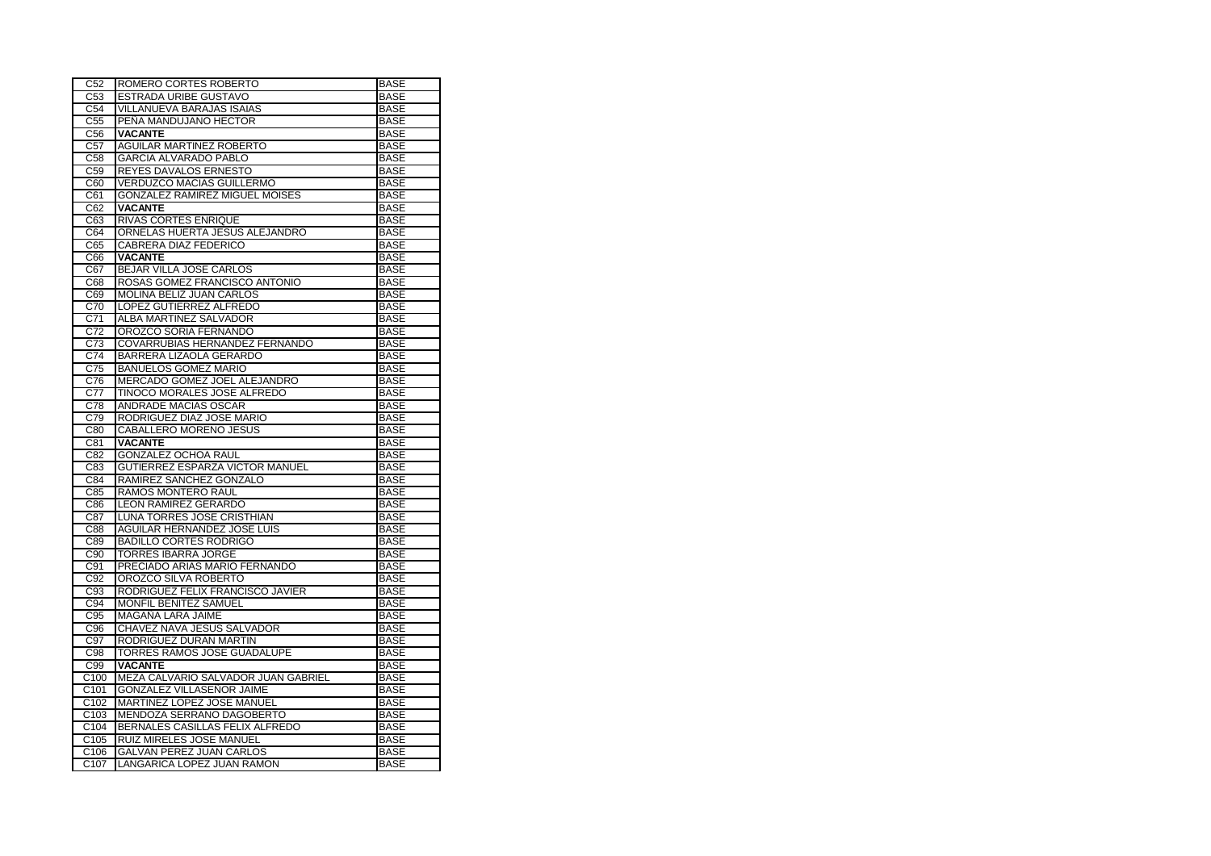| C <sub>52</sub>          | ROMERO CORTES ROBERTO                                         | <b>BASE</b>                |
|--------------------------|---------------------------------------------------------------|----------------------------|
| C53                      | ESTRADA URIBE GUSTAVO                                         | <b>BASE</b>                |
| C54                      | <b>VILLANUEVA BARAJAS ISAIAS</b>                              | <b>BASE</b>                |
| C <sub>55</sub>          | PEÑA MANDUJANO HECTOR                                         | <b>BASE</b>                |
| C56                      | <b>VACANTE</b>                                                | <b>BASE</b>                |
| C57                      | <b>AGUILAR MARTINEZ ROBERTO</b>                               | <b>BASE</b>                |
| C58                      | <b>GARCIA ALVARADO PABLO</b>                                  | <b>BASE</b>                |
| C59                      | REYES DAVALOS ERNESTO                                         | <b>BASE</b>                |
| C60                      | <b>VERDUZCO MACIAS GUILLERMO</b>                              | <b>BASE</b>                |
| C61                      | <b>GONZALEZ RAMIREZ MIGUEL MOISES</b>                         | <b>BASE</b>                |
| C62                      | <b>VACANTE</b>                                                | <b>BASE</b>                |
| C63                      | <b>RIVAS CORTES ENRIQUE</b>                                   | <b>BASE</b>                |
| C64                      | ORNELAS HUERTA JESUS ALEJANDRO                                | <b>BASE</b>                |
| C65                      | <b>CABRERA DIAZ FEDERICO</b>                                  | <b>BASE</b>                |
| C66                      | <b>VACANTE</b>                                                | <b>BASE</b>                |
| C67                      | BEJAR VILLA JOSE CARLOS                                       | <b>BASE</b>                |
| C68                      | ROSAS GOMEZ FRANCISCO ANTONIO                                 | <b>BASE</b>                |
| C69                      | MOLINA BELIZ JUAN CARLOS                                      | <b>BASE</b>                |
| C70                      | LOPEZ GUTIERREZ ALFREDO                                       | <b>BASE</b>                |
| C71                      | ALBA MARTINEZ SALVADOR                                        | <b>BASE</b>                |
| C <sub>72</sub>          | OROZCO SORIA FERNANDO                                         | <b>BASE</b>                |
| C73                      | COVARRUBIAS HERNANDEZ FERNANDO                                | <b>BASE</b>                |
| C <sub>74</sub>          | BARRERA LIZAOLA GERARDO                                       | <b>BASE</b>                |
| C <sub>75</sub>          | <b>BAÑUELOS GOMEZ MARIO</b>                                   | <b>BASE</b>                |
| C76                      | MERCADO GOMEZ JOEL ALEJANDRO                                  | <b>BASE</b>                |
| C <sub>77</sub>          | TINOCO MORALES JOSE ALFREDO                                   | <b>BASE</b>                |
| C78                      | ANDRADE MACIAS OSCAR                                          | <b>BASE</b>                |
| C79                      | RODRIGUEZ DIAZ JOSE MARIO                                     | <b>BASE</b>                |
|                          |                                                               |                            |
| C80                      | CABALLERO MORENO JESUS                                        | <b>BASE</b>                |
| C81                      | <b>VACANTE</b>                                                | <b>BASE</b>                |
| C82                      | <b>GONZALEZ OCHOA RAUL</b>                                    | <b>BASE</b>                |
| C83                      | <b>GUTIERREZ ESPARZA VICTOR MANUEL</b>                        | <b>BASE</b>                |
| C84                      | RAMIREZ SANCHEZ GONZALO                                       | <b>BASE</b>                |
| C85                      | RAMOS MONTERO RAUL                                            | <b>BASE</b>                |
| C86                      | <b>LEON RAMIREZ GERARDO</b>                                   | <b>BASE</b>                |
| C87                      | LUNA TORRES JOSE CRISTHIAN                                    | <b>BASE</b>                |
| C88                      | <b>AGUILAR HERNANDEZ JOSE LUIS</b>                            | <b>BASE</b>                |
| C89                      | <b>BADILLO CORTES RODRIGO</b>                                 | <b>BASE</b>                |
| C90                      | <b>TORRES IBARRA JORGE</b>                                    | <b>BASE</b>                |
| C91                      | PRECIADO ARIAS MARIO FERNANDO                                 | <b>BASE</b>                |
| C92                      | OROZCO SILVA ROBERTO                                          | <b>BASE</b>                |
| C93                      | RODRIGUEZ FELIX FRANCISCO JAVIER                              | <b>BASE</b>                |
| C94                      | MONFIL BENITEZ SAMUEL                                         | <b>BASE</b>                |
| C <sub>95</sub>          | MAGAÑA LARA JAIME                                             | <b>BASE</b>                |
| C96                      | CHAVEZ NAVA JESUS SALVADOR                                    | <b>BASE</b>                |
| C97                      | RODRIGUEZ DURAN MARTIN                                        | <b>BASE</b>                |
| C98                      | TORRES RAMOS JOSE GUADALUPE                                   | <b>BASE</b>                |
| C99                      | <b>VACANTE</b>                                                | <b>BASE</b>                |
| C100                     | MEZA CALVARIO SALVADOR JUAN GABRIEL                           | <b>BASE</b>                |
| C <sub>101</sub>         | GONZALEZ VILLASEÑOR JAIME                                     | <b>BASE</b>                |
| C102                     | MARTINEZ LOPEZ JOSE MANUEL                                    | <b>BASE</b>                |
| C103                     | MENDOZA SERRANO DAGOBERTO                                     | <b>BASE</b>                |
| C <sub>104</sub>         | BERNALES CASILLAS FELIX ALFREDO                               | <b>BASE</b>                |
| C105                     | RUIZ MIRELES JOSE MANUEL                                      | <b>BASE</b>                |
| C106<br>C <sub>107</sub> | <b>GALVAN PEREZ JUAN CARLOS</b><br>LANGARICA LOPEZ JUAN RAMON | <b>BASE</b><br><b>BASE</b> |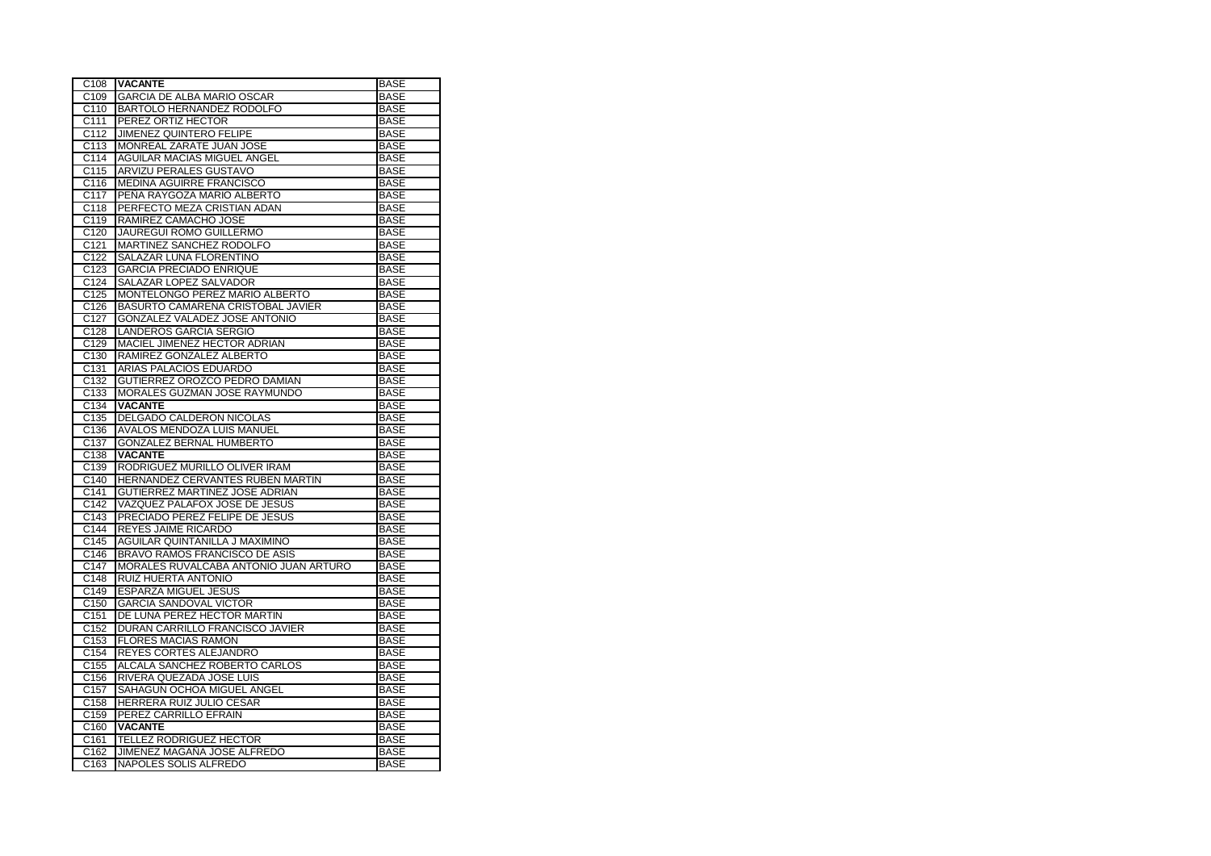| C <sub>108</sub>         | <b>VACANTE</b>                                         | <b>BASE</b>                |
|--------------------------|--------------------------------------------------------|----------------------------|
| C <sub>109</sub>         | <b>GARCIA DE ALBA MARIO OSCAR</b>                      | <b>BASE</b>                |
| C <sub>110</sub>         | BARTOLO HERNANDEZ RODOLFO                              | <b>BASE</b>                |
| C111                     | PEREZ ORTIZ HECTOR                                     | <b>BASE</b>                |
| C112                     | <b>JIMENEZ QUINTERO FELIPE</b>                         | <b>BASE</b>                |
| C113                     | MONREAL ZARATE JUAN JOSE                               | <b>BASE</b>                |
| C <sub>114</sub>         | AGUILAR MACIAS MIGUEL ANGEL                            | <b>BASE</b>                |
| C115                     | <b>ARVIZU PERALES GUSTAVO</b>                          | <b>BASE</b>                |
| C116                     | <b>MEDINA AGUIRRE FRANCISCO</b>                        | <b>BASE</b>                |
| C117                     | PENA RAYGOZA MARIO ALBERTO                             | <b>BASE</b>                |
| C118                     | PERFECTO MEZA CRISTIAN ADAN                            | <b>BASE</b>                |
| $\overline{C119}$        | RAMIREZ CAMACHO JOSE                                   | <b>BASE</b>                |
| C120                     | JAUREGUI ROMO GUILLERMO                                | <b>BASE</b>                |
| C121                     | MARTINEZ SANCHEZ RODOLFO                               | <b>BASE</b>                |
| C <sub>122</sub>         | SALAZAR LUNA FLORENTINO                                | <b>BASE</b>                |
| C123                     | <b>GARCIA PRECIADO ENRIQUE</b>                         | <b>BASE</b>                |
| C124                     | SALAZAR LOPEZ SALVADOR                                 | <b>BASE</b>                |
| C125                     | MONTELONGO PEREZ MARIO ALBERTO                         | <b>BASE</b>                |
| C <sub>126</sub>         | BASURTO CAMARENA CRISTOBAL JAVIER                      | <b>BASE</b>                |
| C127                     | <b>GONZALEZ VALADEZ JOSE ANTONIO</b>                   | <b>BASE</b>                |
| C128                     | <b>LANDEROS GARCIA SERGIO</b>                          | <b>BASE</b>                |
| C <sub>129</sub>         | MACIEL JIMENEZ HECTOR ADRIAN                           | <b>BASE</b>                |
| C <sub>130</sub>         | RAMIREZ GONZALEZ ALBERTO                               | <b>BASE</b>                |
| C <sub>131</sub>         | ARIAS PALACIOS EDUARDO                                 | <b>BASE</b>                |
| C <sub>132</sub>         | GUTIERREZ OROZCO PEDRO DAMIAN                          | <b>BASE</b>                |
| C <sub>133</sub>         | MORALES GUZMAN JOSE RAYMUNDO                           | <b>BASE</b>                |
| C <sub>134</sub>         | <b>VACANTE</b>                                         | <b>BASE</b>                |
| C135                     | DELGADO CALDERON NICOLAS                               | <b>BASE</b>                |
| C136                     | AVALOS MENDOZA LUIS MANUEL                             | <b>BASE</b>                |
| C137                     | <b>GONZALEZ BERNAL HUMBERTO</b>                        | <b>BASE</b>                |
| C138                     | <b>VACANTE</b>                                         | <b>BASE</b>                |
| C139                     | RODRIGUEZ MURILLO OLIVER IRAM                          | <b>BASE</b>                |
| C140                     | HERNANDEZ CERVANTES RUBEN MARTIN                       | <b>BASE</b>                |
| C <sub>141</sub>         | GUTIERREZ MARTINEZ JOSE ADRIAN                         | <b>BASE</b>                |
| C142                     | VAZQUEZ PALAFOX JOSE DE JESUS                          | <b>BASE</b>                |
| C <sub>143</sub>         | PRECIADO PEREZ FELIPE DE JESUS                         | <b>BASE</b>                |
| C144                     | REYES JAIME RICARDO                                    | <b>BASE</b>                |
| C145                     | AGUILAR QUINTANILLA J MAXIMINO                         | <b>BASE</b>                |
| C <sub>146</sub>         | BRAVO RAMOS FRANCISCO DE ASIS                          | <b>BASE</b>                |
| C147                     | MORALES RUVALCABA ANTONIO JUAN ARTURO                  | <b>BASE</b>                |
| C148                     | <b>RUIZ HUERTA ANTONIO</b>                             | <b>BASE</b>                |
| C149                     | ESPARZA MIGUEL JESUS                                   | <b>BASE</b>                |
| C <sub>150</sub>         | <b>GARCIA SANDOVAL VICTOR</b>                          | <b>BASE</b>                |
| C151                     | DE LUNA PEREZ HECTOR MARTIN                            | <b>BASE</b>                |
| C152                     | DURAN CARRILLO FRANCISCO JAVIER                        | <b>BASE</b>                |
| C <sub>153</sub>         | <b>FLORES MACIAS RAMON</b>                             | <b>BASE</b>                |
| C154                     | REYES CORTES ALEJANDRO                                 | <b>BASE</b>                |
| C <sub>155</sub>         | ALCALA SANCHEZ ROBERTO CARLOS                          | <b>BASE</b>                |
| C156                     | RIVERA QUEZADA JOSE LUIS                               | <b>BASE</b>                |
| C <sub>157</sub><br>C158 | SAHAGUN OCHOA MIGUEL ANGEL<br>HERRERA RUIZ JULIO CESAR | <b>BASE</b><br><b>BASE</b> |
| C159                     | PEREZ CARRILLO EFRAIN                                  | <b>BASE</b>                |
| C160                     | <b>VACANTE</b>                                         | <b>BASE</b>                |
| C161                     | <b>TELLEZ RODRIGUEZ HECTOR</b>                         | <b>BASE</b>                |
| C <sub>162</sub>         | JIMENEZ MAGAÑA JOSE ALFREDO                            | <b>BASE</b>                |
| C163                     | NAPOLES SOLIS ALFREDO                                  | <b>BASE</b>                |
|                          |                                                        |                            |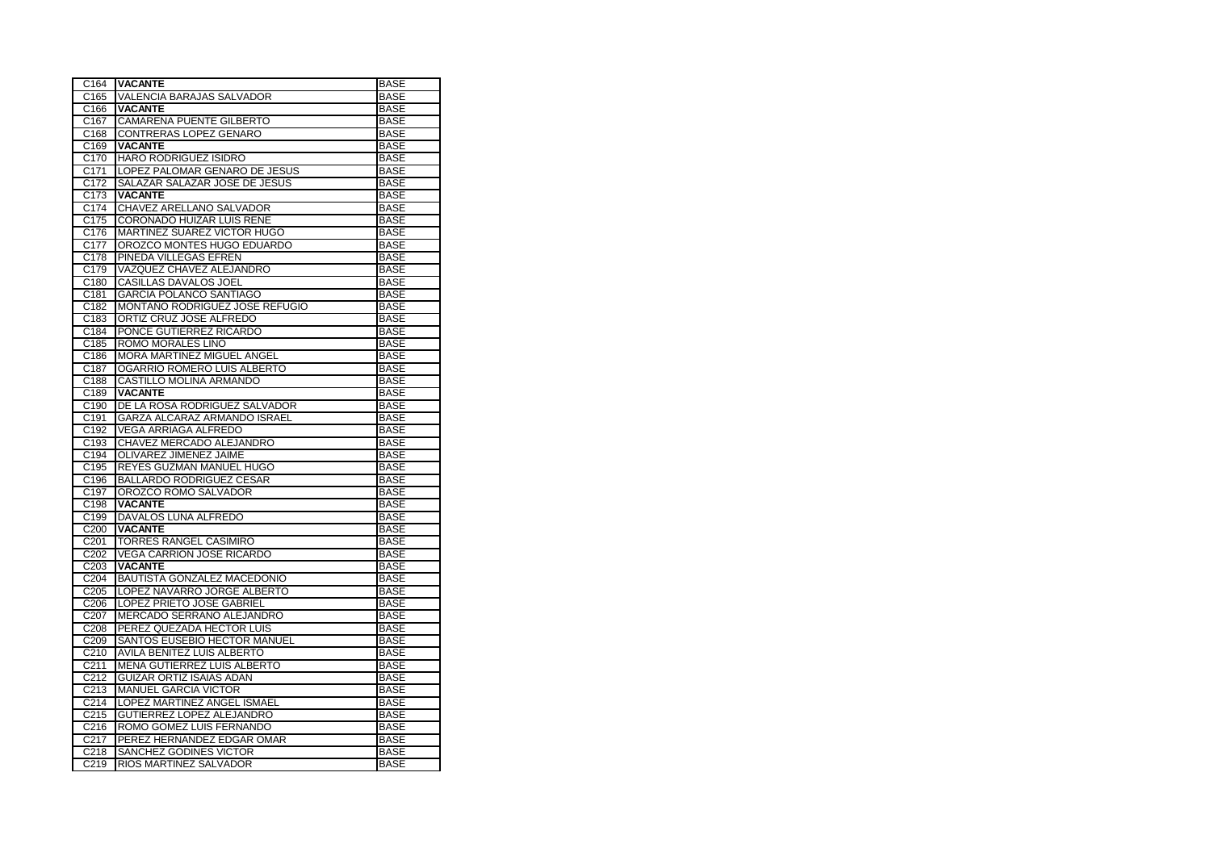| C164              | <b>VACANTE</b>                                   | <b>BASE</b>                |
|-------------------|--------------------------------------------------|----------------------------|
| C165              | VALENCIA BARAJAS SALVADOR                        | <b>BASE</b>                |
| C166              | <b>VACANTE</b>                                   | <b>BASE</b>                |
| C <sub>167</sub>  | CAMARENA PUENTE GILBERTO                         | <b>BASE</b>                |
| C168              | CONTRERAS LOPEZ GENARO                           | <b>BASE</b>                |
| C169              | <b>VACANTE</b>                                   | <b>BASE</b>                |
| C <sub>170</sub>  | <b>HARO RODRIGUEZ ISIDRO</b>                     | <b>BASE</b>                |
| C171              | LOPEZ PALOMAR GENARO DE JESUS                    | <b>BASE</b>                |
| C172              | SALAZAR SALAZAR JOSE DE JESUS                    | <b>BASE</b>                |
| C173              | <b>VACANTE</b>                                   | <b>BASE</b>                |
| C174              | CHAVEZ ARELLANO SALVADOR                         | <b>BASE</b>                |
| C175              | CORONADO HUIZAR LUIS RENE                        | <b>BASE</b>                |
| C176              | MARTINEZ SUAREZ VICTOR HUGO                      | <b>BASE</b>                |
| C177              | OROZCO MONTES HUGO EDUARDO                       | <b>BASE</b>                |
| C178              | PINEDA VILLEGAS EFREN                            | <b>BASE</b>                |
| C179              | VAZQUEZ CHAVEZ ALEJANDRO                         | <b>BASE</b>                |
| C <sub>180</sub>  | CASILLAS DAVALOS JOEL                            | <b>BASE</b>                |
| C <sub>181</sub>  | <b>GARCIA POLANCO SANTIAGO</b>                   | <b>BASE</b>                |
| C182              | MONTAÑO RODRIGUEZ JOSE REFUGIO                   | <b>BASE</b>                |
| C183              | ORTIZ CRUZ JOSE ALFREDO                          | <b>BASE</b>                |
| C184              | PONCE GUTIERREZ RICARDO                          | <b>BASE</b>                |
| C185              | ROMO MORALES LINO                                | <b>BASE</b>                |
| C186              | MORA MARTINEZ MIGUEL ANGEL                       | <b>BASE</b>                |
| C187              | OGARRIO ROMERO LUIS ALBERTO                      | <b>BASE</b>                |
| C188              | CASTILLO MOLINA ARMANDO                          | <b>BASE</b>                |
| C189              | <b>VACANTE</b>                                   | <b>BASE</b>                |
| C190              | DE LA ROSA RODRIGUEZ SALVADOR                    | <b>BASE</b>                |
| C191              | GARZA ALCARAZ ARMANDO ISRAEL                     | <b>BASE</b>                |
| C192              | VEGA ARRIAGA ALFREDO                             | <b>BASE</b>                |
|                   |                                                  |                            |
| C193              | CHAVEZ MERCADO ALEJANDRO                         | <b>BASE</b>                |
| C194              | OLIVAREZ JIMENEZ JAIME                           | <b>BASE</b>                |
| C195              | REYES GUZMAN MANUEL HUGO                         | <b>BASE</b>                |
| C196              | <b>BALLARDO RODRIGUEZ CESAR</b>                  | <b>BASE</b>                |
| C197              | OROZCO ROMO SALVADOR                             | <b>BASE</b>                |
| C198              | <b>VACANTE</b>                                   | <b>BASE</b>                |
| C199              | DAVALOS LUNA ALFREDO                             | <b>BASE</b>                |
| C200              | <b>VACANTE</b>                                   | <b>BASE</b>                |
| C <sub>201</sub>  | TORRES RANGEL CASIMIRO                           | <b>BASE</b>                |
| C202              | VEGA CARRION JOSE RICARDO                        | <b>BASE</b>                |
| C <sub>203</sub>  | <b>VACANTE</b>                                   | <b>BASE</b>                |
| C204              | BAUTISTA GONZALEZ MACEDONIO                      | <b>BASE</b>                |
| C205              | LOPEZ NAVARRO JORGE ALBERTO                      | <b>BASE</b>                |
| C206              | LOPEZ PRIETO JOSE GABRIEL                        | <b>BASE</b>                |
| C <sub>20</sub> 7 | MERCADO SERRANO ALEJANDRO                        | <b>BASE</b>                |
| C208              | PEREZ QUEZADA HECTOR LUIS                        | <b>BASE</b>                |
| C209              | SANTOS EUSEBIO HECTOR MANUEL                     | <b>BASE</b>                |
| C210              | AVILA BENITEZ LUIS ALBERTO                       | <b>BASE</b>                |
| C211              | MENA GUTIERREZ LUIS ALBERTO                      | <b>BASE</b>                |
| C212              | <b>GUIZAR ORTIZ ISAIAS ADAN</b>                  | <b>BASE</b>                |
| C213              | <b>MANUEL GARCIA VICTOR</b>                      | <b>BASE</b>                |
| C <sub>214</sub>  | LOPEZ MARTINEZ ANGEL ISMAEL                      | <b>BASE</b>                |
| C <sub>215</sub>  | GUTIERREZ LOPEZ ALEJANDRO                        | <b>BASE</b>                |
| C <sub>216</sub>  | ROMO GOMEZ LUIS FERNANDO                         | <b>BASE</b>                |
| C217              | PEREZ HERNANDEZ EDGAR OMAR                       | <b>BASE</b>                |
| C218<br>C219      | SANCHEZ GODINES VICTOR<br>RIOS MARTINEZ SALVADOR | <b>BASE</b><br><b>BASE</b> |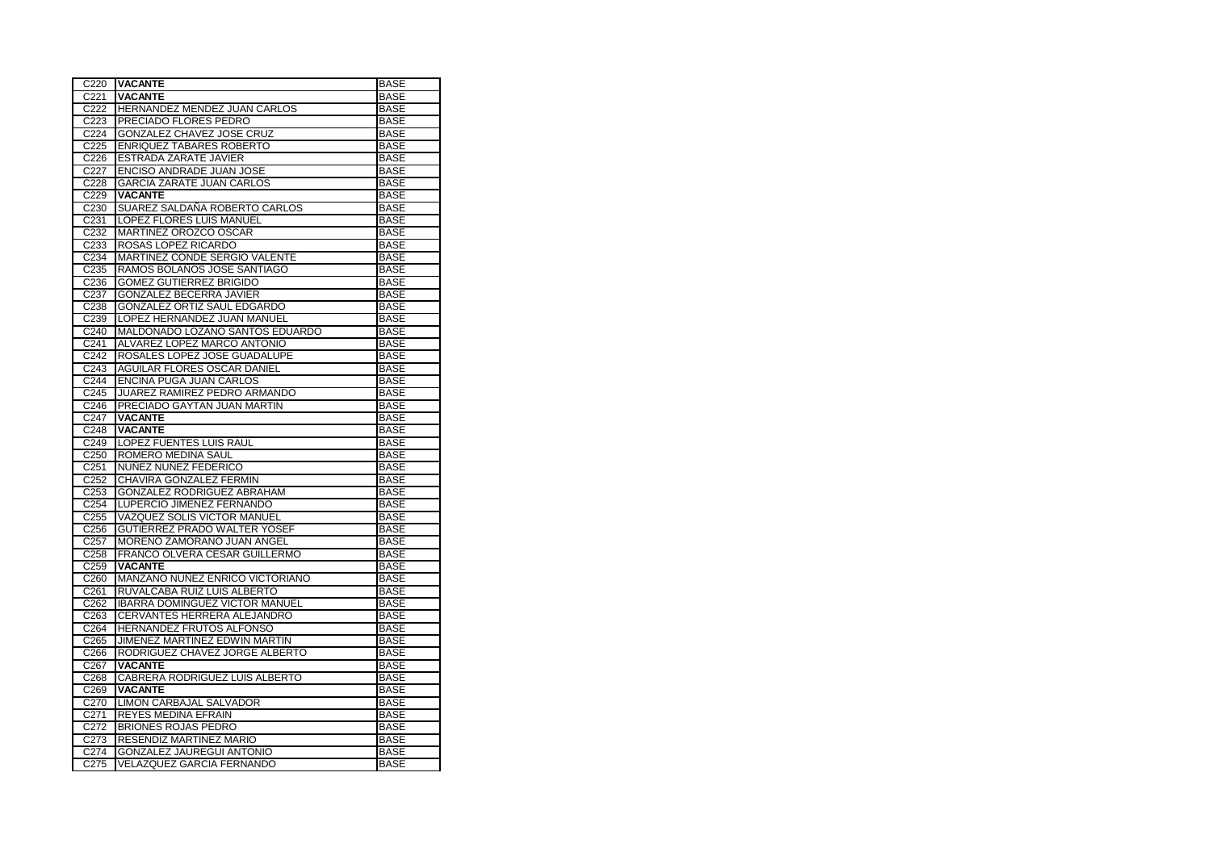| C220               | <b>VACANTE</b>                        | <b>BASE</b> |
|--------------------|---------------------------------------|-------------|
| C221               | <b>VACANTE</b>                        | <b>BASE</b> |
| C222               | HERNANDEZ MENDEZ JUAN CARLOS          | <b>BASE</b> |
| C223               | PRECIADO FLORES PEDRO                 | <b>BASE</b> |
| C <sub>224</sub>   | GONZALEZ CHAVEZ JOSE CRUZ             | <b>BASE</b> |
| C225               | <b>ENRIQUEZ TABARES ROBERTO</b>       | <b>BASE</b> |
| C226               | <b>ESTRADA ZARATE JAVIER</b>          | <b>BASE</b> |
| C <sub>22</sub> 7  | ENCISO ANDRADE JUAN JOSE              | <b>BASE</b> |
| C228               | <b>GARCIA ZARATE JUAN CARLOS</b>      | <b>BASE</b> |
| C229               | <b>VACANTE</b>                        | <b>BASE</b> |
| C230               | SUAREZ SALDAÑA ROBERTO CARLOS         | <b>BASE</b> |
| C231               | LOPEZ FLORES LUIS MANUEL              | <b>BASE</b> |
| C <sub>232</sub>   | MARTINEZ OROZCO OSCAR                 | <b>BASE</b> |
| C <sub>233</sub>   | ROSAS LOPEZ RICARDO                   | <b>BASE</b> |
| C234               | MARTINEZ CONDE SERGIO VALENTE         | <b>BASE</b> |
| C235               | RAMOS BOLAÑOS JOSE SANTIAGO           | <b>BASE</b> |
| C236               | <b>GOMEZ GUTIERREZ BRIGIDO</b>        |             |
|                    |                                       | <b>BASE</b> |
| C237               | GONZALEZ BECERRA JAVIER               | <b>BASE</b> |
| C238               | GONZALEZ ORTIZ SAUL EDGARDO           | <b>BASE</b> |
| C239               | LOPEZ HERNANDEZ JUAN MANUEL           | <b>BASE</b> |
| $\overline{C}$ 240 | MALDONADO LOZANO SANTOS EDUARDO       | <b>BASE</b> |
| C241               | ALVAREZ LOPEZ MARCO ANTONIO           | <b>BASE</b> |
| C242               | ROSALES LOPEZ JOSE GUADALUPE          | <b>BASE</b> |
| C243               | AGUILAR FLORES OSCAR DANIEL           | <b>BASE</b> |
| C244               | <b>ENCINA PUGA JUAN CARLOS</b>        | <b>BASE</b> |
| C245               | JUAREZ RAMIREZ PEDRO ARMANDO          | <b>BASE</b> |
| C246               | PRECIADO GAYTAN JUAN MARTIN           | <b>BASE</b> |
| C247               | <b>VACANTE</b>                        | <b>BASE</b> |
| C248               | <b>VACANTE</b>                        | <b>BASE</b> |
| C249               | LOPEZ FUENTES LUIS RAUL               | <b>BASE</b> |
| C <sub>250</sub>   | ROMERO MEDINA SAUL                    | <b>BASE</b> |
| C251               | NUÑEZ NUÑEZ FEDERICO                  | <b>BASE</b> |
| C252               | CHAVIRA GONZALEZ FERMIN               | <b>BASE</b> |
| C <sub>253</sub>   | GONZALEZ RODRIGUEZ ABRAHAM            | <b>BASE</b> |
| C254               | LUPERCIO JIMENEZ FERNANDO             | <b>BASE</b> |
| C255               | VAZQUEZ SOLIS VICTOR MANUEL           | <b>BASE</b> |
| C <sub>256</sub>   | <b>GUTIERREZ PRADO WALTER YOSEF</b>   | <b>BASE</b> |
| C <sub>257</sub>   | MORENO ZAMORANO JUAN ANGEL            | <b>BASE</b> |
| C <sub>258</sub>   | FRANCO OLVERA CESAR GUILLERMO         | <b>BASE</b> |
| C259               | <b>VACANTE</b>                        | <b>BASE</b> |
| C260               | MANZANO NUÑEZ ENRICO VICTORIANO       | <b>BASE</b> |
| C261               | RUVALCABA RUIZ LUIS ALBERTO           | <b>BASE</b> |
| C <sub>262</sub>   | <b>IBARRA DOMINGUEZ VICTOR MANUEL</b> | <b>BASE</b> |
| C <sub>263</sub>   | CERVANTES HERRERA ALEJANDRO           | <b>BASE</b> |
| C264               | HERNANDEZ FRUTOS ALFONSO              | <b>BASE</b> |
| C265               | JIMENEZ MARTINEZ EDWIN MARTIN         | <b>BASE</b> |
| C266               | RODRIGUEZ CHAVEZ JORGE ALBERTO        | <b>BASE</b> |
| C <sub>267</sub>   | <b>VACANTE</b>                        | <b>BASE</b> |
| C268               | CABRERA RODRIGUEZ LUIS ALBERTO        | <b>BASE</b> |
| C269               | <b>VACANTE</b>                        | <b>BASE</b> |
| C270               | <b>LIMON CARBAJAL SALVADOR</b>        | <b>BASE</b> |
|                    | <b>REYES MEDINA EFRAIN</b>            | <b>BASE</b> |
| C271               |                                       |             |
| C <sub>272</sub>   | <b>BRIONES ROJAS PEDRO</b>            | <b>BASE</b> |
| C <sub>273</sub>   | RESENDIZ MARTINEZ MARIO               | <b>BASE</b> |
| C274               | GONZALEZ JAUREGUI ANTONIO             | <b>BASE</b> |